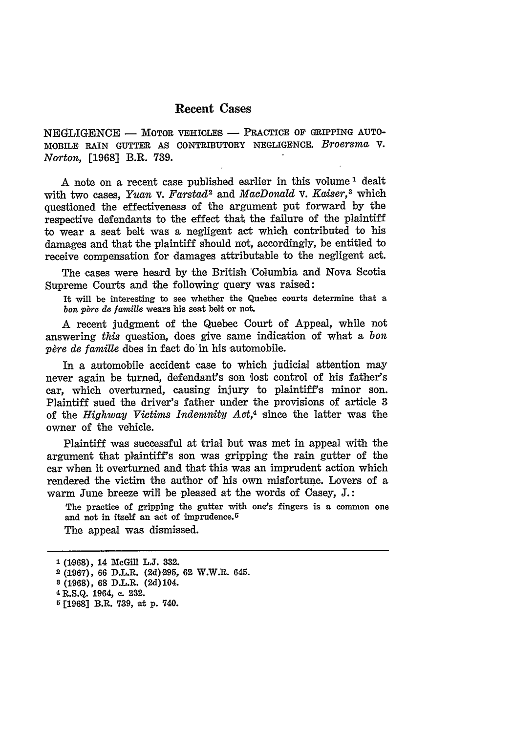## **Recent Cases**

NEGLIGENCE - MOTOR VEHICLES - PRACTICE OF GRIPPING AUTO-MOBILE RAIN **GUTTER AS** CONTRIBUTORY **NEGLIGENCE.** *Broersma,* V. *Norton,* **[1968]** B.R. **739.**

A note on a recent **case** published earlier in this volume **1** dealt with two cases, *Yuan v. Farstad<sup>2</sup>* and *MacDonald v. Kaiser*,<sup>3</sup> which questioned the effectiveness of the argument put forward **by** the respective defendants to the effect that the failure **of** the plaintiff to wear a seat belt was a negligent act which contributed to his damages and that the plaintiff should not, accordingly, be entitled to receive compensation for damages attributable to the negligent act.

The cases were heard **by** the British 'Columbia and Nova Scotia Supreme Courts and the following query was raised:

It will be interesting to see whether the Quebec courts determine that a bon père de famille wears his seat belt or not.

A recent judgment of the Quebec Court of Appeal, while not answering *this* question, does give same indication of what a *bon père de famille* does in fact do in his automobile.

In a automobile accident case to which judicial attention may never again be turned, defendant's son lost control of his father's car, which overturned, causing injury to plaintiff's minor son. Plaintiff sued the driver's father under the provisions of article 3 of the *Highway Victims Indemnity Act,4* since the latter was the owner of the vehicle.

Plaintiff was successful at trial but was met in appeal with the argument that plaintiff's son was gripping the rain gutter of the car when it overturned and that this was an imprudent action which rendered the victim the author of his own misfortune. Lovers of a warm June breeze will be pleased at the words of Casey, **J.:**

The practice of gripping the gutter with one's fingers is a common one and not in itself an act of imprudence.<sup>5</sup>

The appeal was dismissed.

**<sup>1</sup> (1,968),** 14 McGill **L.J. 332.**

**<sup>2</sup>(1967), 66** D.L.R. **(2d)295, 62** W.W.R. 645.

**<sup>8 (1968), 68</sup>** D.L.R. (2d)104.

**<sup>4</sup> R.S.Q.** 1964, **c.** 232.

**<sup>5 [1968]</sup>** B.R. **739,** at **p.** 740.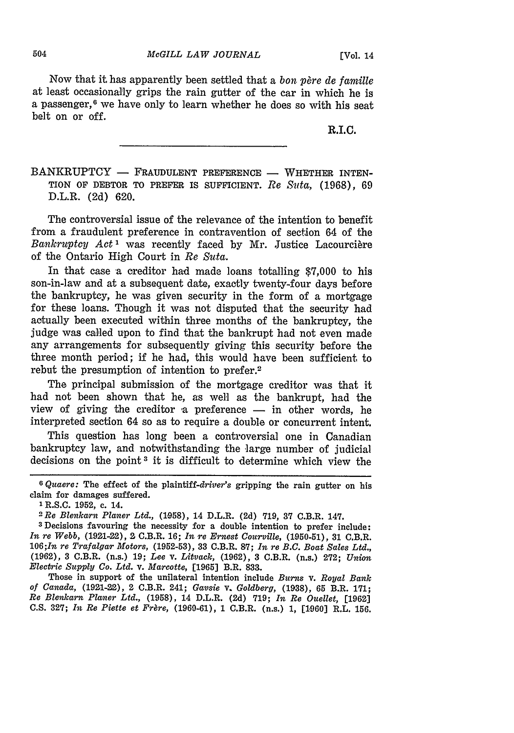Now that it has apparently been settled that a *bon père de famille* at least occasionally grips the rain gutter of the car in which he is a passenger, $6$  we have only to learn whether he does so with his seat belt on or off.

R.I.C.

BANKRUPTCY - FRAUDULENT PREFERENCE - WHETHER INTEN-TION OF DEBTOR TO PREFER IS SUFFICIENT. Re Suta, (1968), 69 D.L.R. (2d) 620.

The controversial issue of the relevance of the intention to benefit from a fraudulent preference in contravention of section 64 of the *Bankruptcy Act<sup>1</sup>* was recently faced by Mr. Justice Lacourcière of the Ontario High Court in *Re Suta.*

In that case a creditor had made loans totalling \$7,000 to his son-in-law and at a subsequent date, exactly twenty-four days before the bankruptcy, he was given security in the form of a mortgage for these loans. Though it was not disputed that the security had actually been executed within three months of the bankruptcy, the judge was called upon to find that the bankrupt had not even made any arrangements for subsequently giving this security before the three month period; if he had, this would have been sufficient to rebut the presumption of intention to prefer.2

The principal submission of the mortgage creditor was that it had not been shown that he, as well as the bankrupt, had the view of giving the creditor a preference — in other words, he interpreted section 64 so as to require a double or concurrent intent.

This question has long been a controversial one in Canadian bankruptcy law, and notwithstanding the large number of judicial decisions on the point 3 it is difficult to determine which view the

Those in support of the unilateral intention include *Burns* v. *Royal Bank of Canada,* (1921-22), 2 C.B.R. 241; *Gavsie* v. *Goldberg,* (1938), **65** B.R. 171; *Re Blenkarn Planer Ltd.,* (1958), 14 D.L.R. (2d) 719; *In Re Ouellet,* [1962] C.S. 327; *In Re Piette et Frère*, (1960-61), 1 C.B.R. (n.s.) 1, [1960] R.L. 156.

**<sup>6</sup>** *Quaere:* The effect of the plaintiff-driver's gripping the rain gutter on his claim for damages suffered.<br> $1$  R.S.C. 1952, c. 14.

**<sup>1</sup>**R.S.C. 1952, c. 14. *<sup>2</sup> Re Blenkarn Planer Ltd.,* (1.958), 14 D.L.R. (2d) **719, 37** C.B.R. 147.

**<sup>3</sup>** Decisions favouring the necessity for a double intention to prefer include: *In re Webb,* (1921-22), 2 C.B.R. 16; *In re Ernest Courville,* (1950-51), **31** C.B.R. 106;In re *Trafalgar Motors,* (1952-53), **33** C.B.R. **87;** *In re B.C. Boat Sales Ltd.,* (1962), **3** C.B.R. (n.s.) 19; *Lee v. Litvack,* (1962), **3** C.B.R. (n.s.) 272; *Union Electric Supply Co. Ltd. v. Marcotte,* [1965] B.R. 833.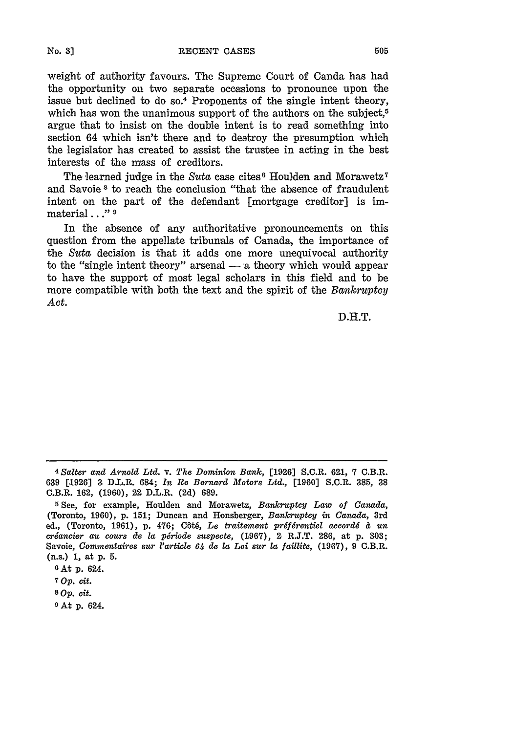weight of authority favours. The Supreme Court of Canda has had the opportunity on two separate occasions to pronounce upon the issue but declined to do so.<sup>4</sup> Proponents of the single intent theory, which has won the unanimous support of the authors on the subject,<sup>5</sup> argue that to insist on the double intent is to read something into section 64 which isn't there and to destroy the presumption which the legislator has created to assist the trustee in acting in the best interests of the mass of creditors.

The learned judge in the *Suta* case cites<sup>6</sup> Houlden and Morawetz<sup>7</sup> and Savoie **s** to reach the conclusion "that the absence of fraudulent intent on the part of the defendant [mortgage creditor] is immaterial..." **0**

In the absence of any authoritative pronouncements on this question from the appellate tribunals of Canada, the importance of the *Suta* decision is that it adds one more unequivocal authority to the "single intent theory" arsenal  $-$  a theory which would appear to have the support of most legal scholars in this field and to be more compatible with both the text and the spirit of the *Bankruptcy Act.*

D.H.T.

*<sup>4</sup> Salter and Arnold Ltd. v. The Dominion Bank,* [1926] S.C.R. 621, 7 C.B.R. **639 [1926] 3** D.L.R. 684; *In Re Bernard Motors Ltd.,* **[1960]** S.C.R. **385, 38** C.B.R. 162, (1960), 22 D.L.R. (2d) 689.

**<sup>5</sup>** See, for example, Houlden and Morawetz, *Bankruptcy Law of Canada,* (Toronto, 1960), p. 151; Duncan and Honsberger, *Bankruptcy in Canada,* 3rd ed., (Toronto, 1961), p. 476; Côté, Le traitement préférentiel accordé à un *criancier au cours de la p6riode suspecte,* (1967), 2 R.J.T. **286,** at p. **303;** Savoie, *Commentaires sur l'article 64 de la Loi sur la faillite*, (1967), 9 C.B.R. (n.s.) **1,** at **p. 5.**

**<sup>6</sup>** At **p.** 624.

**<sup>7</sup>** *op. Cit.*

**<sup>8</sup>** *Op. cit.*

**<sup>9</sup> At p.** 624.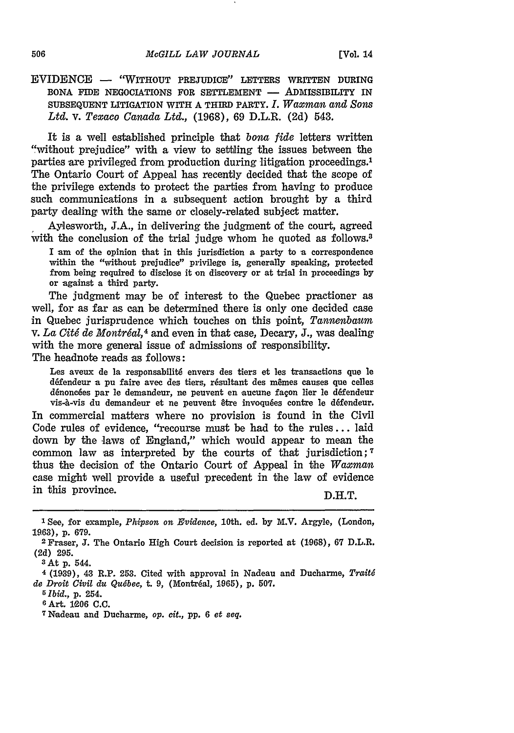## EVIDENCE - "WITHOUT PREJUDICE" LETTERS WRITTEN **DURING BONA** FIDE NEGOCIATIONS FOR **SETTLEMENT -** ADMISSIBILITY IN **SUBSEQUENT** LITIGATION WITH A THIRD PARTY. *I. Waxman and Sons Ltd. v. Texaco Canada Ltd.,* **(1968), 69** D.L.R. **(2d)** 543.

It is a well established principle that *bona fide* letters written "without prejudice" with a view to settling the issues between the parties are privileged from production during litigation proceedings.1 The Ontario Court of Appeal has recently decided that the scope of the privilege extends to protect the parties from having to produce such communications in a subsequent action brought **by** a third party dealing with the same or closely-related subject matter.

Aylesworth, **J.A.,** in delivering the judgment of the court, agreed with the conclusion of the trial *judge* whom he quoted as follows.<sup>3</sup>

I am of the opinion that in this jurisdiction a party to a correspondence within the "without prejudice" privilege is, generally speaking, protected from being required to disclose it on discovery or at trial in proceedings **by** or against a third party.

The judgment may be of interest to the Quebec practioner as well, for as far as can be determined there is only one decided case in Quebec jurisprudence which touches on this point, *Tannenbaum* v. *La Cit6 de Montr6al,4* and even in that case, Decary, J., was dealing with the more general issue of admissions of responsibility.

The headnote reads as follows:

Les aveux de la responsabilit6 envers des tiers et les transactions **que** le défendeur a pu faire avec des tiers, résultant des mêmes causes que celles dénoncées par le demandeur, ne peuvent en aucune façon lier le défendeur vis-à-vis du demandeur et ne peuvent être invoquées contre le défendeur.

In commercial matters where no provision is found in the Civil Code rules of evidence, "recourse must be had to the rules... laid down by the laws of England," which would appear to mean the common law as interpreted by the courts of that jurisdiction; **7** thus the decision of the Ontario Court of Appeal in the *Waxman* case might well provide a useful precedent in the law of evidence in this province. D.H.T.

**3At** p. 544.

*5Ibid.,* **p.** 254.

**<sup>1</sup>** See, for example, *Phipson on Evidence,* 10th. ed. by M.V. Argyle, (London, **19,63),** p. 679.

<sup>2</sup> Fraser, **J.** The Ontario High Court decision is reported at **(1068), 67** D.L.R. **(2d)** 295.

**<sup>4</sup>**(1939), 43 R.P. **253.** Cited with approval in Nadeau and Ducharme, *Trait6 de Droit Civil du Québec, t. 9, (Montréal, 1965), p. 507.* 

<sup>6</sup>Art. 1206 **C.C.**

<sup>7</sup>Nadeau and Ducharme, *op. cit.,* pp. 6 *et seq.*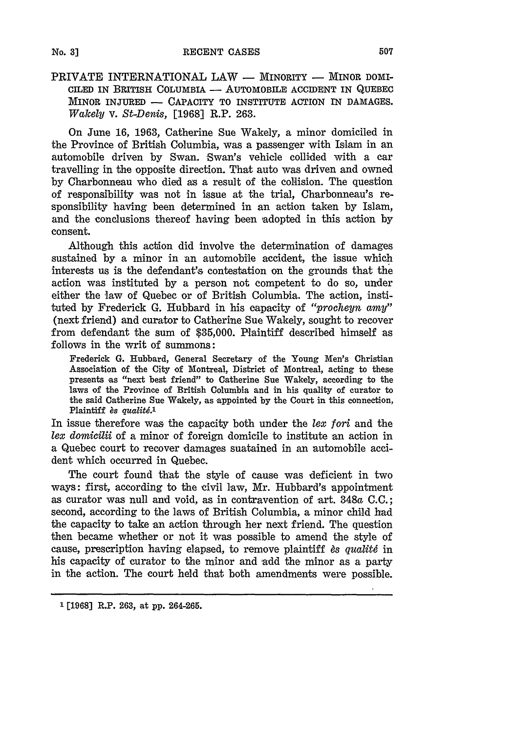PRIVATE INTERNATIONAL LAW - MINORITY - MINOR DOMI-CILED IN BRITISH COLUMBIA - AUTOMOBILE ACCIDENT IN QUEBEC MINOR INJURED - CAPACITY TO INSTITUTE ACTION IN DAMAGES. *Wakely* v. *St-Denis,* [1968] R.P. 263.

On June 16, 1963, Catherine Sue Wakely, a minor domiciled in the Province of British Columbia, was a passenger with Islam in an automobile driven by Swan. Swan's vehicle collided with a car travelling in the opposite direction. That auto was driven and owned by Charbonneau who died as a result of the collision. The question of responsibility was not in issue at the trial, Charbonneau's responsibility having been determined in an action taken by Islam, and the conclusions thereof having been adopted in this action by consent.

Although this action did involve the determination of damages sustained by a minor in an automobile accident, the issue which interests us is the defendant's contestation on the grounds that the action was instituted by a person not competent to do so, under either the law of Quebec or of British Columbia. The action, instituted by Frederick G. Hubbard in his capacity of *"procheyn amy"* (next friend) and curator to Catherine Sue Wakely, sought to recover from defendant the sum of \$35,000. Plaintiff described himself as follows in the writ of summons:

Frederick G. Hubbard, General Secretary of the Young Men's Christian Association of the City of Montreal, District of Montreal, acting to these presents as "next best friend" to Catherine Sue Wakely, according to the laws of the Province of British Columbia and in his quality of curator to the said Catherine Sue Wakely, as appointed by the Court in this connection, Plaintiff *ès* qualité.<sup>1</sup>

In issue therefore was the capacity both under the *lex fori* and the *lex* domicilii of a minor of foreign domicile to institute an action in a Quebec court to recover damages suatained in an automobile accident which occurred in Quebec.

The court found that the style of cause was deficient in two ways: first, according to the civil law, Mr. Hubbard's appointment as curator was null and void, as in contravention of art. 348a C.C.; second, according to the laws of British Columbia, a minor child had the capacity to take an action through her next friend. The question then became whether or not it was possible to amend the style of cause, prescription having elapsed, to remove plaintiff *ès qualité* in his capacity of curator to the minor and add the minor as a party in the action. The court held that both amendments were possible.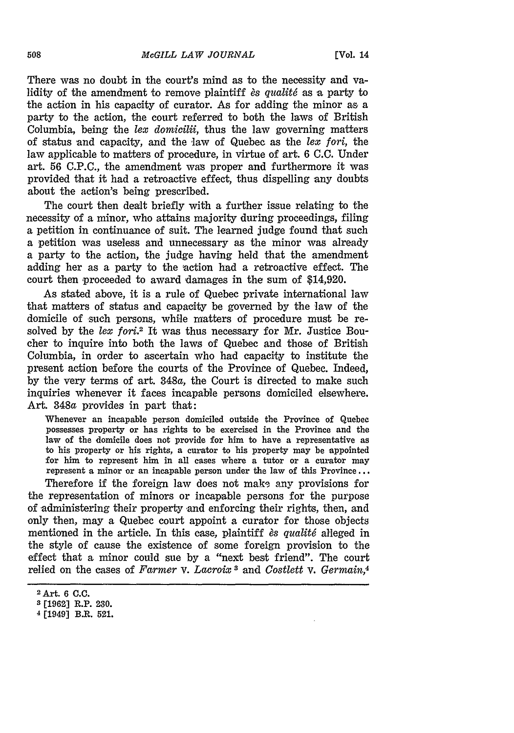There was no doubt in the court's mind as to the necessity and validity of the amendment to remove plaintiff *es qualité* as a party to the action in his capacity of curator. As for adding the minor as a party to the action, the court referred to both the laws of British Columbia, being the *tex domicilii,* thus the law governing matters of status and capacity, and the law of Quebec as the *lex fori,* the law applicable to matters of procedure, in virtue of art. **6 C.C.** Under art. **56 C.P.C.,** the amendment was proper and furthermore it was provided that it had a retroactive effect, thus dispelling any doubts about the action's being prescribed.

The court then dealt briefly with a further issue relating to the necessity of a minor, who attains majority during proceedings, filing **a** petition in continuance of suit. The learned judge found that such **a** petition was useless and unnecessary as the minor was already a party to the action, the judge having held that the amendment adding her as a party to the action had a retroactive effect. The court then proceeded to award damages in the sum of \$14,920.

As stated above, it is a rule of Quebec private international law that matters of status and capacity be governed **by** the law of the domicile of such persons, while matters of procedure must be resolved by the *lex fori*.<sup>2</sup> It was thus necessary for Mr. Justice Boucher to inquire into both the laws of Quebec and those of British Columbia, in order to ascertain who had capacity to institute the present action before the courts of the Province of Quebec. Indeed, **by** the very terms of art. 348a, the Court is directed to make such inquiries whenever it faces incapable persons domiciled elsewhere. Art. 348a provides in part that:

Whenever an incapable person domiciled outside the Province of Quebec possesses property or has rights to be exercised in the Province and the law of the domicile does not provide for him to have a representative as to his property or his rights, a curator to his property may be appointed for him to represent him in all cases where a tutor or a curator may represent a minor or an incapable person under the law of this Province **...**

Therefore if the foreign law does not make any provisions for the representation of minors or incapable persons for the purpose of administering their property and enforcing their rights, then, and only then, may a Quebec court appoint a curator for those objects mentioned in the article. In this case, plaintiff *ès qualité* alleged in the style of cause the existence of some foreign provision to the effect that a minor could sue **by** a "next best friend". The court relied on the cases of *Farmer v. Lacroix* and *Costlett v. Germain,4*

<sup>2</sup> Art 6 **C.C.**

**<sup>3</sup>**[1962] R.P. 230.

<sup>4</sup>[1949] B.R. **521.**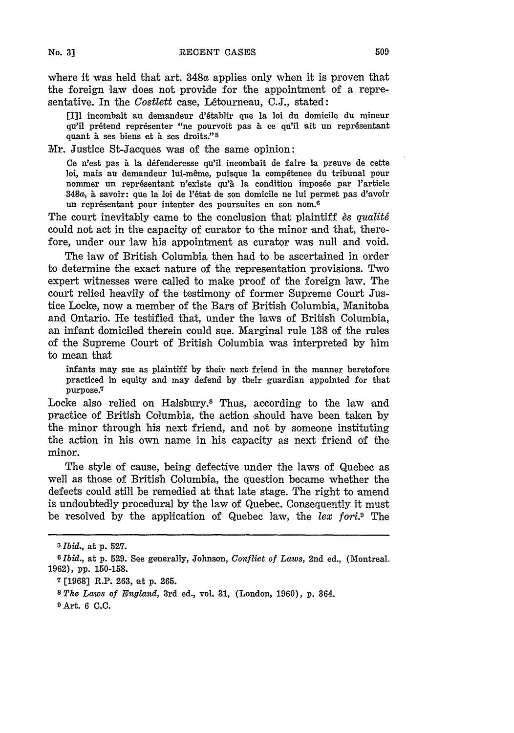where it was held that art. 348a applies only when it is proven that the foreign law does not provide for the appointment of a representative. In the *Costlett* case, Létourneau, C.J., stated:

[Ill incombait au demandeur d'6tablir que la loi du domicile du mineur qu'il prétend représenter "ne pourvoit pas à ce qu'il ait un représentant quant à ses biens et à ses droits."<sup>5</sup>

Mr. Justice St-Jacques was of the same opinion:

Ce n'est pas à la défenderesse qu'il incombait de faire la preuve de cette loi, mais au demandeur lui-même, puisque la compétence du tribunal pour nommer un représentant n'existe qu'à la condition imposée par l'article 348a, **A** savoir: que la Ioi de l'6tat de son domicile ne **lui** permet pas d'avoir un représentant pour intenter des poursuites en son nom.<sup>6</sup>

The court inevitably came to the conclusion that plaintiff *es qualité* could not act in the capacity of curator to the minor and that, therefore, under our law his appointment as curator was null and void.

The law of British Columbia then had to be ascertained in order to determine the exact nature of the representation provisions. Two expert witnesses were called to make proof of the foreign law. The court relied heavily of the testimony of former Supreme Court Justice Locke, now a member of the Bars of British Columbia, Manitoba and Ontario. He testified that, under the laws of British Columbia, an infant domiciled therein could sue. Marginal rule **138** of the rules of the Supreme Court of British Columbia was interpreted **by** him to mean that

infants may sue as plaintiff **by** their next friend in the manner heretofore practiced in equity and may defend **by** their guardian appointed for that purpose. 7

Locke also relied on Halsbury.<sup>8</sup> Thus, according to the law and practice of British Columbia, the action should have been taken **by** the minor through his next friend, and not **by** someone instituting the action in his own name in his capacity as next friend of the minor.

The style of cause, being defective under the laws of Quebec as well as those of British Columbia, the question became whether the defects could still be remedied at that late stage. The right to amend is undoubtedly procedural by the law of Quebec. Consequently it must be resolved by the application of Quebec law, the *lex fori.9* The

**No. 3]**

*<sup>5</sup>Ibid.,* at **p.** 527.

**<sup>6</sup>** Ibid., at **p.** 529. See generally, Johnson, *Conflict of Laws,* 2nd ed., (Montreal. 1962), **pp. 150-158.**

**<sup>7</sup> [1968]** R.P. 263, at p. 265.

**<sup>8</sup>** *The Laws of England,* 3rd ed., vol. **31,** (London, 1960), **p.** 364.

**<sup>9</sup>** Art. 6 C.C.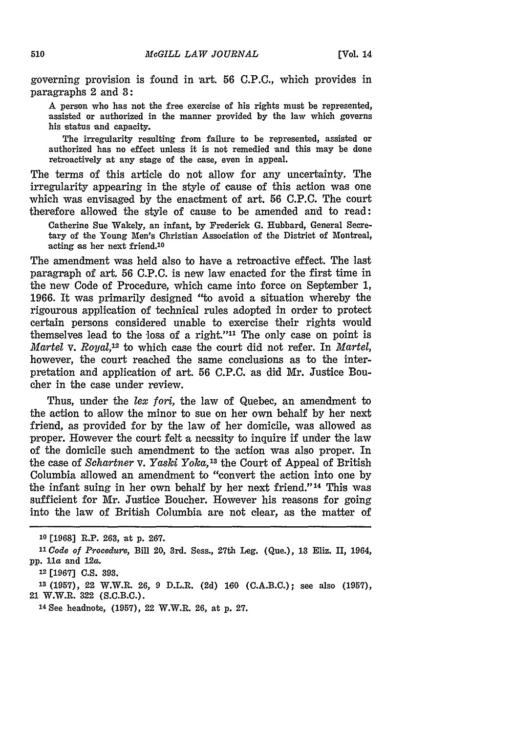governing provision is found in art. **56 C.P.C.,** which provides in paragraphs 2 and **3:**

A person who has not the free exercise of his rights must be represented, assisted or authorized in the manner provided by the law which governs his status and capacity.

The irregularity resulting from failure to be represented, assisted or authorized has no effect unless it is not remedied and this may be done retroactively at any stage of the case, even in appeal.

The terms of this article do not allow for any uncertainty. The irregularity appearing in the style of cause of this action was one which was envisaged **by** the enactment of art. **56 C.P.C.** The court therefore allowed the style of cause to be amended and to read:

Catherine Sue Wakely, an infant, **by** Frederick **G.** Hubbard, General Secretary of the Young Men's Christian Association of the District of Montreal, acting as her next friend.<sup>10</sup>

The amendment was held also to have a retroactive effect. The last paragraph of art. **56 C.P.C.** is new law enacted for the first time in the new Code of Procedure, which came into force on September **1, 1966.** It was primarily designed "to avoid a situation whereby the rigourous application of technical rules adopted in order to protect certain persons considered unable to exercise their rights would themselves lead to the loss of a right."<sup>11</sup> The only case on point is *Martel* v. *Royal,12* to which case the court did not refer. In *Martel,* however, the court reached the same conclusions as to the interpretation and application of art. **56** C.P.C. as did Mr. Justice Boucher in the case under review.

Thus, under the *lex fori,* the law of Quebec, an amendment to the action to allow the minor to sue on her own behalf **by** her next friend, as provided for **by** the law of her domicile, was allowed as proper. However the court felt a necssity to inquire if under the law of the domicile such amendment to the 'action was also proper. In the case of *Schartner v. Yaski Yoka,'8* the Court of Appeal of British Columbia allowed an amendment to "convert the action into one by the infant suing in her own behalf by her next friend."<sup>14</sup> This was sufficient for Mr. Justice Boucher. However his reasons for going into the law of British Columbia are not clear, as the matter of

**<sup>1</sup>o** [1,968] R.P. 263, at **p.** 267.

*<sup>11</sup>Code of Procedure,* Bill 20, 3rd. Sess., 27th Leg. (Que.), 13 Eliz. II, 1964, **pp.** 1a and 12a.

<sup>12 [1967</sup>J **C.S. 393.**

**<sup>13</sup>**(1957), 22 W.W.R. 26, 9 D.L.R. (2d) 160 (C.A.B.C.); see also (1957), 21 W.W.R. **322** (S.C.B.C.).

**<sup>14</sup>**See headnote, (1957), 22 W.W.R. 26, at **p. 27.**